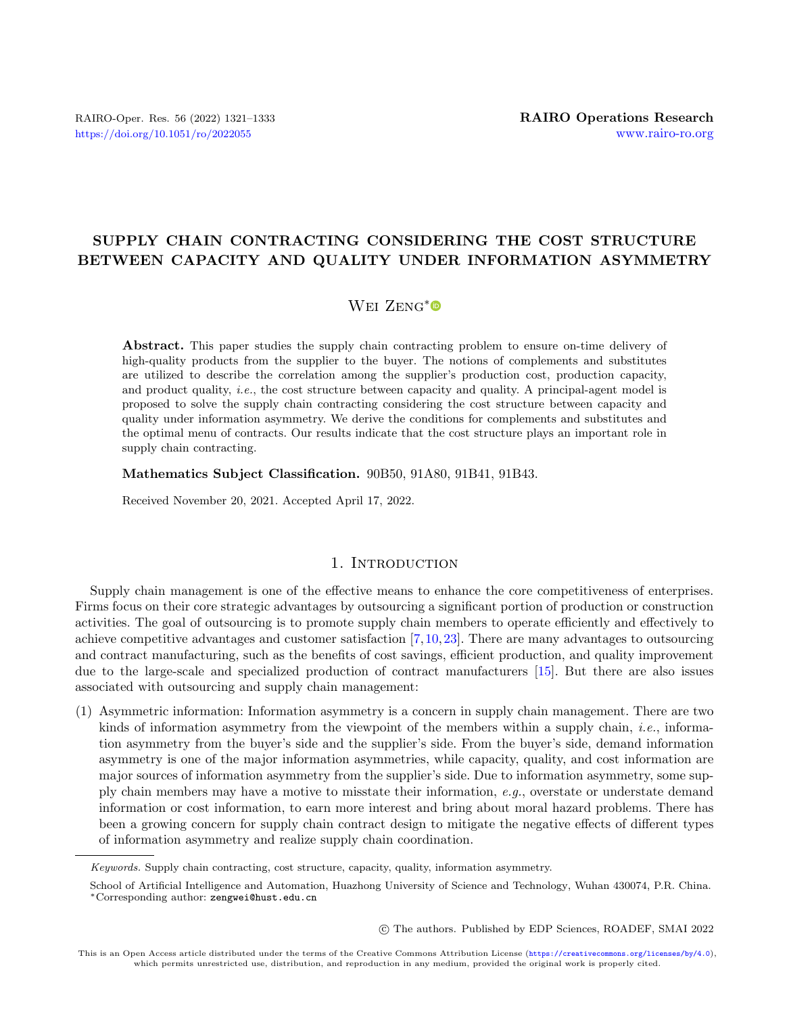# SUPPLY CHAIN CONTRACTING CONSIDERING THE COST STRUCTURE BETWEEN CAPACITY AND QUALITY UNDER INFORMATION ASYMMETRY

# WEI ZENG<sup>[\\*](https://orcid.org/0000-0002-4303-9752)</sup>

Abstract. This paper studies the supply chain contracting problem to ensure on-time delivery of high-quality products from the supplier to the buyer. The notions of complements and substitutes are utilized to describe the correlation among the supplier's production cost, production capacity, and product quality, i.e., the cost structure between capacity and quality. A principal-agent model is proposed to solve the supply chain contracting considering the cost structure between capacity and quality under information asymmetry. We derive the conditions for complements and substitutes and the optimal menu of contracts. Our results indicate that the cost structure plays an important role in supply chain contracting.

Mathematics Subject Classification. 90B50, 91A80, 91B41, 91B43.

Received November 20, 2021. Accepted April 17, 2022.

# 1. INTRODUCTION

Supply chain management is one of the effective means to enhance the core competitiveness of enterprises. Firms focus on their core strategic advantages by outsourcing a significant portion of production or construction activities. The goal of outsourcing is to promote supply chain members to operate efficiently and effectively to achieve competitive advantages and customer satisfaction [\[7,](#page-12-0)[10,](#page-12-1)[23\]](#page-12-2). There are many advantages to outsourcing and contract manufacturing, such as the benefits of cost savings, efficient production, and quality improvement due to the large-scale and specialized production of contract manufacturers [\[15\]](#page-12-3). But there are also issues associated with outsourcing and supply chain management:

(1) Asymmetric information: Information asymmetry is a concern in supply chain management. There are two kinds of information asymmetry from the viewpoint of the members within a supply chain, *i.e.*, information asymmetry from the buyer's side and the supplier's side. From the buyer's side, demand information asymmetry is one of the major information asymmetries, while capacity, quality, and cost information are major sources of information asymmetry from the supplier's side. Due to information asymmetry, some supply chain members may have a motive to misstate their information, e.g., overstate or understate demand information or cost information, to earn more interest and bring about moral hazard problems. There has been a growing concern for supply chain contract design to mitigate the negative effects of different types of information asymmetry and realize supply chain coordination.

○c The authors. Published by EDP Sciences, ROADEF, SMAI 2022

Keywords. Supply chain contracting, cost structure, capacity, quality, information asymmetry.

School of Artificial Intelligence and Automation, Huazhong University of Science and Technology, Wuhan 430074, P.R. China. \*Corresponding author: [zengwei@hust.edu.cn](mailto:zengwei@hust.edu.cn)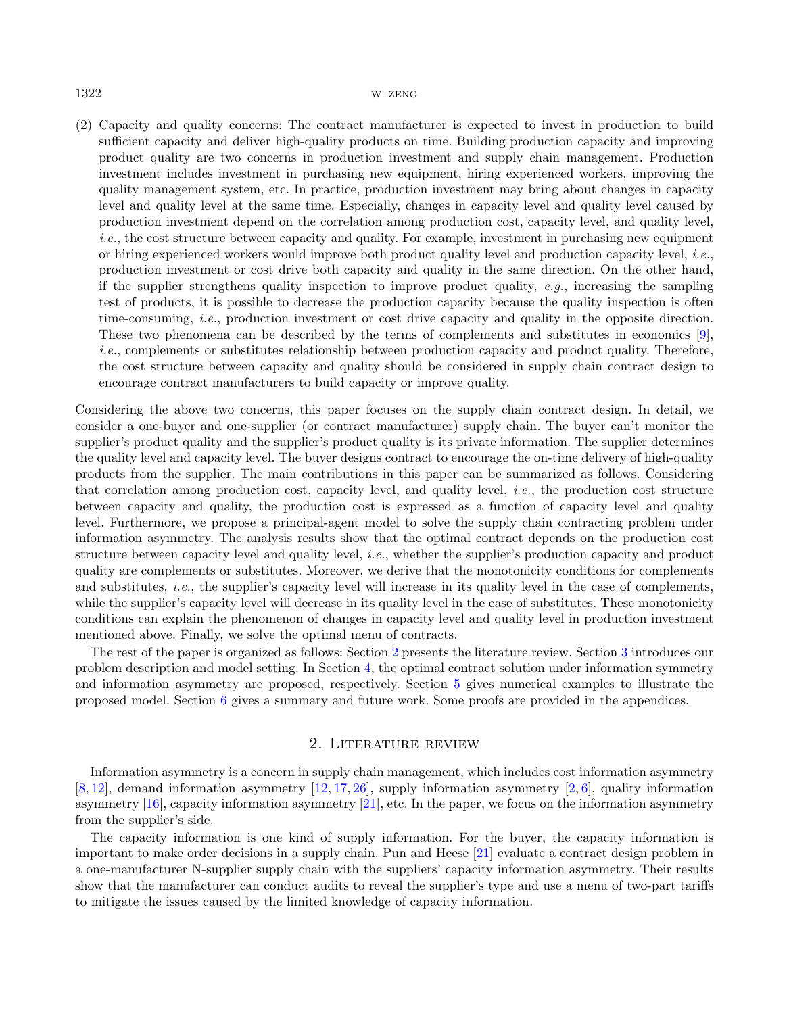(2) Capacity and quality concerns: The contract manufacturer is expected to invest in production to build sufficient capacity and deliver high-quality products on time. Building production capacity and improving product quality are two concerns in production investment and supply chain management. Production investment includes investment in purchasing new equipment, hiring experienced workers, improving the quality management system, etc. In practice, production investment may bring about changes in capacity level and quality level at the same time. Especially, changes in capacity level and quality level caused by production investment depend on the correlation among production cost, capacity level, and quality level, i.e., the cost structure between capacity and quality. For example, investment in purchasing new equipment or hiring experienced workers would improve both product quality level and production capacity level, i.e., production investment or cost drive both capacity and quality in the same direction. On the other hand, if the supplier strengthens quality inspection to improve product quality,  $e.g.,$  increasing the sampling test of products, it is possible to decrease the production capacity because the quality inspection is often time-consuming, *i.e.*, production investment or cost drive capacity and quality in the opposite direction. These two phenomena can be described by the terms of complements and substitutes in economics [\[9\]](#page-12-4), i.e., complements or substitutes relationship between production capacity and product quality. Therefore, the cost structure between capacity and quality should be considered in supply chain contract design to encourage contract manufacturers to build capacity or improve quality.

Considering the above two concerns, this paper focuses on the supply chain contract design. In detail, we consider a one-buyer and one-supplier (or contract manufacturer) supply chain. The buyer can't monitor the supplier's product quality and the supplier's product quality is its private information. The supplier determines the quality level and capacity level. The buyer designs contract to encourage the on-time delivery of high-quality products from the supplier. The main contributions in this paper can be summarized as follows. Considering that correlation among production cost, capacity level, and quality level, i.e., the production cost structure between capacity and quality, the production cost is expressed as a function of capacity level and quality level. Furthermore, we propose a principal-agent model to solve the supply chain contracting problem under information asymmetry. The analysis results show that the optimal contract depends on the production cost structure between capacity level and quality level, i.e., whether the supplier's production capacity and product quality are complements or substitutes. Moreover, we derive that the monotonicity conditions for complements and substitutes, *i.e.*, the supplier's capacity level will increase in its quality level in the case of complements, while the supplier's capacity level will decrease in its quality level in the case of substitutes. These monotonicity conditions can explain the phenomenon of changes in capacity level and quality level in production investment mentioned above. Finally, we solve the optimal menu of contracts.

The rest of the paper is organized as follows: Section [2](#page-1-0) presents the literature review. Section [3](#page-2-0) introduces our problem description and model setting. In Section [4,](#page-4-0) the optimal contract solution under information symmetry and information asymmetry are proposed, respectively. Section [5](#page-6-0) gives numerical examples to illustrate the proposed model. Section [6](#page-9-0) gives a summary and future work. Some proofs are provided in the appendices.

#### 2. Literature review

<span id="page-1-0"></span>Information asymmetry is a concern in supply chain management, which includes cost information asymmetry  $[8, 12]$  $[8, 12]$  $[8, 12]$ , demand information asymmetry  $[12, 17, 26]$  $[12, 17, 26]$  $[12, 17, 26]$  $[12, 17, 26]$  $[12, 17, 26]$ , supply information asymmetry  $[2, 6]$  $[2, 6]$  $[2, 6]$ , quality information asymmetry [\[16\]](#page-12-10), capacity information asymmetry [\[21\]](#page-12-11), etc. In the paper, we focus on the information asymmetry from the supplier's side.

The capacity information is one kind of supply information. For the buyer, the capacity information is important to make order decisions in a supply chain. Pun and Heese [\[21\]](#page-12-11) evaluate a contract design problem in a one-manufacturer N-supplier supply chain with the suppliers' capacity information asymmetry. Their results show that the manufacturer can conduct audits to reveal the supplier's type and use a menu of two-part tariffs to mitigate the issues caused by the limited knowledge of capacity information.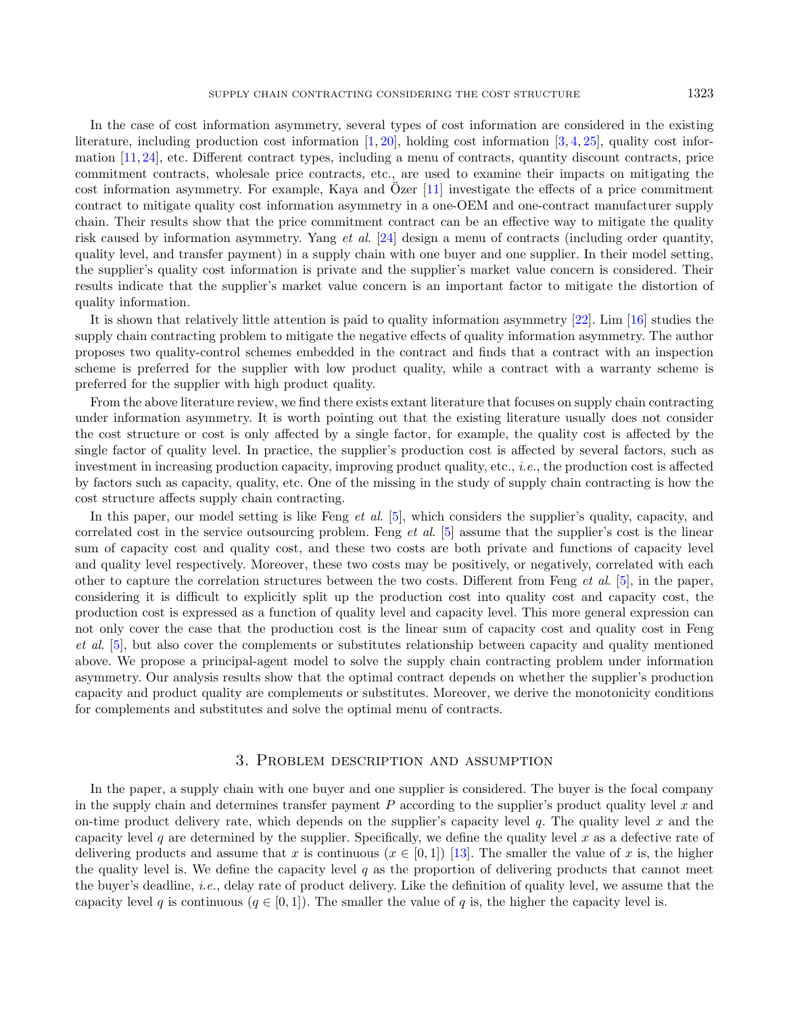In the case of cost information asymmetry, several types of cost information are considered in the existing literature, including production cost information [\[1,](#page-11-1) [20\]](#page-12-12), holding cost information [\[3,](#page-11-2) [4,](#page-11-3) [25\]](#page-12-13), quality cost information [\[11,](#page-12-14) [24\]](#page-12-15), etc. Different contract types, including a menu of contracts, quantity discount contracts, price commitment contracts, wholesale price contracts, etc., are used to examine their impacts on mitigating the cost information asymmetry. For example, Kaya and Ozer  $[11]$  $[11]$  investigate the effects of a price commitment contract to mitigate quality cost information asymmetry in a one-OEM and one-contract manufacturer supply chain. Their results show that the price commitment contract can be an effective way to mitigate the quality risk caused by information asymmetry. Yang et al. [\[24\]](#page-12-15) design a menu of contracts (including order quantity, quality level, and transfer payment) in a supply chain with one buyer and one supplier. In their model setting, the supplier's quality cost information is private and the supplier's market value concern is considered. Their results indicate that the supplier's market value concern is an important factor to mitigate the distortion of quality information.

It is shown that relatively little attention is paid to quality information asymmetry [\[22\]](#page-12-16). Lim [\[16\]](#page-12-10) studies the supply chain contracting problem to mitigate the negative effects of quality information asymmetry. The author proposes two quality-control schemes embedded in the contract and finds that a contract with an inspection scheme is preferred for the supplier with low product quality, while a contract with a warranty scheme is preferred for the supplier with high product quality.

From the above literature review, we find there exists extant literature that focuses on supply chain contracting under information asymmetry. It is worth pointing out that the existing literature usually does not consider the cost structure or cost is only affected by a single factor, for example, the quality cost is affected by the single factor of quality level. In practice, the supplier's production cost is affected by several factors, such as investment in increasing production capacity, improving product quality, etc., i.e., the production cost is affected by factors such as capacity, quality, etc. One of the missing in the study of supply chain contracting is how the cost structure affects supply chain contracting.

In this paper, our model setting is like Feng et al. [\[5\]](#page-12-17), which considers the supplier's quality, capacity, and correlated cost in the service outsourcing problem. Feng et al.  $[5]$  assume that the supplier's cost is the linear sum of capacity cost and quality cost, and these two costs are both private and functions of capacity level and quality level respectively. Moreover, these two costs may be positively, or negatively, correlated with each other to capture the correlation structures between the two costs. Different from Feng et al.  $[5]$ , in the paper, considering it is difficult to explicitly split up the production cost into quality cost and capacity cost, the production cost is expressed as a function of quality level and capacity level. This more general expression can not only cover the case that the production cost is the linear sum of capacity cost and quality cost in Feng et al. [\[5\]](#page-12-17), but also cover the complements or substitutes relationship between capacity and quality mentioned above. We propose a principal-agent model to solve the supply chain contracting problem under information asymmetry. Our analysis results show that the optimal contract depends on whether the supplier's production capacity and product quality are complements or substitutes. Moreover, we derive the monotonicity conditions for complements and substitutes and solve the optimal menu of contracts.

### 3. Problem description and assumption

<span id="page-2-0"></span>In the paper, a supply chain with one buyer and one supplier is considered. The buyer is the focal company in the supply chain and determines transfer payment  $P$  according to the supplier's product quality level  $x$  and on-time product delivery rate, which depends on the supplier's capacity level  $q$ . The quality level  $x$  and the capacity level q are determined by the supplier. Specifically, we define the quality level  $x$  as a defective rate of delivering products and assume that x is continuous  $(x \in [0,1])$  [\[13\]](#page-12-18). The smaller the value of x is, the higher the quality level is. We define the capacity level  $q$  as the proportion of delivering products that cannot meet the buyer's deadline, i.e., delay rate of product delivery. Like the definition of quality level, we assume that the capacity level q is continuous  $(q \in [0,1])$ . The smaller the value of q is, the higher the capacity level is.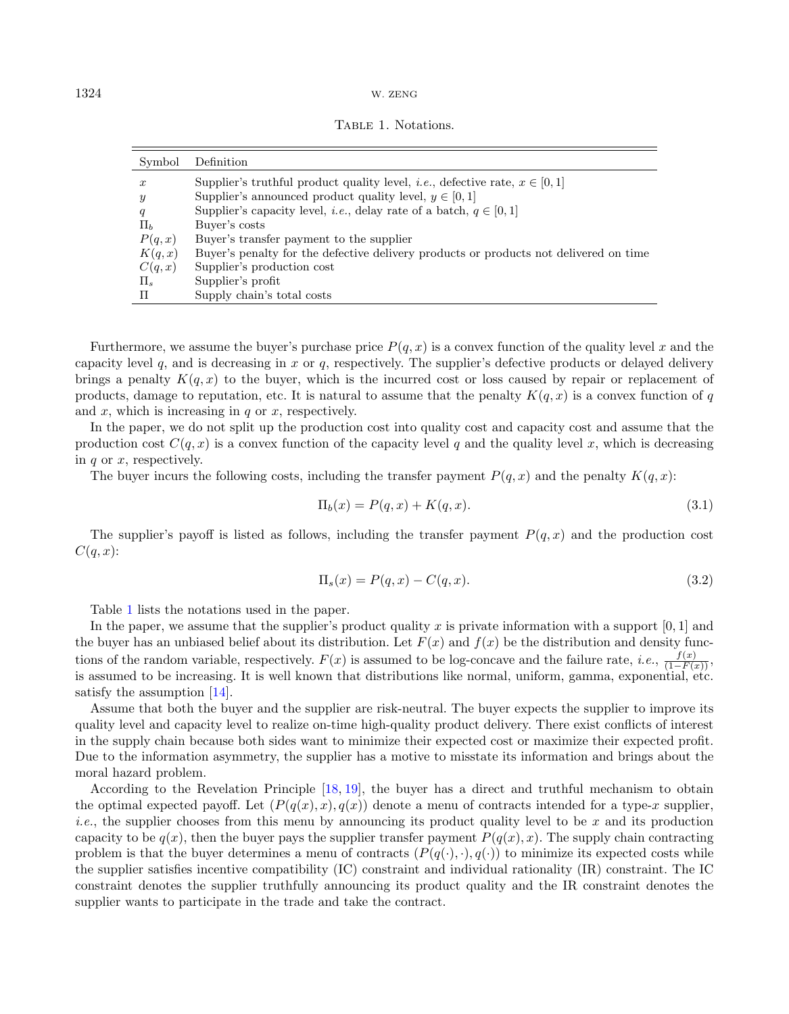| 1324 | W. ZENG |
|------|---------|
|      |         |

<span id="page-3-0"></span>

|  | TABLE 1. Notations. |
|--|---------------------|
|  |                     |

| Symbol                                                               | Definition                                                                                                                                                                                                                                                                                                                                                                                                                |
|----------------------------------------------------------------------|---------------------------------------------------------------------------------------------------------------------------------------------------------------------------------------------------------------------------------------------------------------------------------------------------------------------------------------------------------------------------------------------------------------------------|
| $\boldsymbol{x}$<br>Y<br>q<br>$\Pi_b$<br>P(q,x)<br>K(q, x)<br>C(q,x) | Supplier's truthful product quality level, <i>i.e.</i> , defective rate, $x \in [0,1]$<br>Supplier's announced product quality level, $y \in [0, 1]$<br>Supplier's capacity level, <i>i.e.</i> , delay rate of a batch, $q \in [0,1]$<br>Buver's costs<br>Buyer's transfer payment to the supplier<br>Buyer's penalty for the defective delivery products or products not delivered on time<br>Supplier's production cost |
| $\Pi_{s}$                                                            | Supplier's profit                                                                                                                                                                                                                                                                                                                                                                                                         |
|                                                                      | Supply chain's total costs                                                                                                                                                                                                                                                                                                                                                                                                |

Furthermore, we assume the buyer's purchase price  $P(q, x)$  is a convex function of the quality level x and the capacity level q, and is decreasing in  $x$  or  $q$ , respectively. The supplier's defective products or delayed delivery brings a penalty  $K(q, x)$  to the buyer, which is the incurred cost or loss caused by repair or replacement of products, damage to reputation, etc. It is natural to assume that the penalty  $K(q, x)$  is a convex function of q and  $x$ , which is increasing in  $q$  or  $x$ , respectively.

In the paper, we do not split up the production cost into quality cost and capacity cost and assume that the production cost  $C(q, x)$  is a convex function of the capacity level q and the quality level x, which is decreasing in  $q$  or  $x$ , respectively.

The buyer incurs the following costs, including the transfer payment  $P(q, x)$  and the penalty  $K(q, x)$ :

$$
\Pi_b(x) = P(q, x) + K(q, x). \tag{3.1}
$$

The supplier's payoff is listed as follows, including the transfer payment  $P(q, x)$  and the production cost  $C(q, x)$ :

$$
\Pi_s(x) = P(q, x) - C(q, x). \tag{3.2}
$$

Table [1](#page-3-0) lists the notations used in the paper.

In the paper, we assume that the supplier's product quality x is private information with a support  $[0, 1]$  and the buyer has an unbiased belief about its distribution. Let  $F(x)$  and  $f(x)$  be the distribution and density functions of the random variable, respectively.  $F(x)$  is assumed to be log-concave and the failure rate, *i.e.*,  $\frac{f(x)}{(1-F(x))}$ , is assumed to be increasing. It is well known that distributions like normal, uniform, gamma, exponential, etc. satisfy the assumption [\[14\]](#page-12-19).

Assume that both the buyer and the supplier are risk-neutral. The buyer expects the supplier to improve its quality level and capacity level to realize on-time high-quality product delivery. There exist conflicts of interest in the supply chain because both sides want to minimize their expected cost or maximize their expected profit. Due to the information asymmetry, the supplier has a motive to misstate its information and brings about the moral hazard problem.

According to the Revelation Principle [\[18,](#page-12-20) [19\]](#page-12-21), the buyer has a direct and truthful mechanism to obtain the optimal expected payoff. Let  $(P(q(x), x), q(x))$  denote a menu of contracts intended for a type-x supplier, *i.e.*, the supplier chooses from this menu by announcing its product quality level to be  $x$  and its production capacity to be  $q(x)$ , then the buyer pays the supplier transfer payment  $P(q(x), x)$ . The supply chain contracting problem is that the buyer determines a menu of contracts  $(P(q(\cdot), \cdot), q(\cdot))$  to minimize its expected costs while the supplier satisfies incentive compatibility (IC) constraint and individual rationality (IR) constraint. The IC constraint denotes the supplier truthfully announcing its product quality and the IR constraint denotes the supplier wants to participate in the trade and take the contract.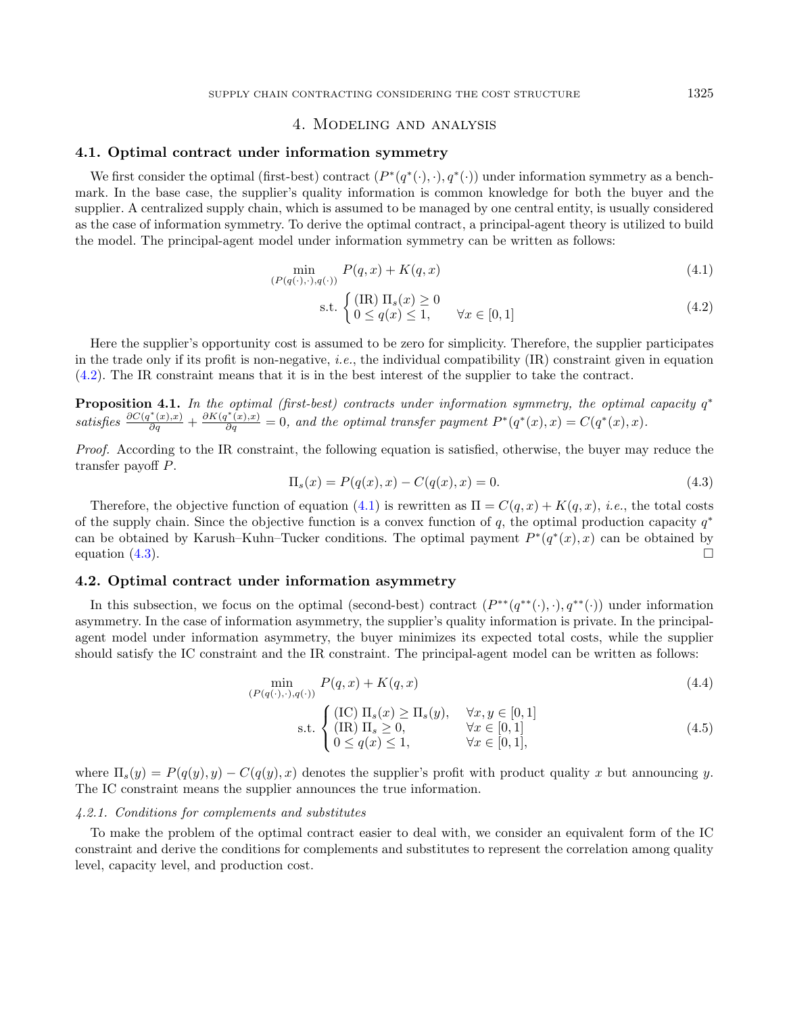# <span id="page-4-2"></span><span id="page-4-1"></span>4. Modeling and analysis

# <span id="page-4-0"></span>4.1. Optimal contract under information symmetry

We first consider the optimal (first-best) contract  $(P^*(q^*(\cdot), \cdot), q^*(\cdot))$  under information symmetry as a benchmark. In the base case, the supplier's quality information is common knowledge for both the buyer and the supplier. A centralized supply chain, which is assumed to be managed by one central entity, is usually considered as the case of information symmetry. To derive the optimal contract, a principal-agent theory is utilized to build the model. The principal-agent model under information symmetry can be written as follows:

<span id="page-4-3"></span>
$$
\min_{\left(P(q(\cdot),\cdot),q(\cdot)\right)} P(q,x) + K(q,x) \tag{4.1}
$$

$$
\text{s.t.} \begin{cases} (\text{IR}) \, \Pi_s(x) \ge 0\\ 0 \le q(x) \le 1, \qquad \forall x \in [0, 1] \end{cases} \tag{4.2}
$$

Here the supplier's opportunity cost is assumed to be zero for simplicity. Therefore, the supplier participates in the trade only if its profit is non-negative, *i.e.*, the individual compatibility  $(IR)$  constraint given in equation [\(4.2\)](#page-4-1). The IR constraint means that it is in the best interest of the supplier to take the contract.

<span id="page-4-6"></span>**Proposition 4.1.** In the optimal (first-best) contracts under information symmetry, the optimal capacity  $q^*$ satisfies  $\frac{\partial C(q^*(x),x)}{\partial q} + \frac{\partial K(q^*(x),x)}{\partial q} = 0$ , and the optimal transfer payment  $P^*(q^*(x),x) = C(q^*(x),x)$ .

Proof. According to the IR constraint, the following equation is satisfied, otherwise, the buyer may reduce the transfer payoff  $P$ .

<span id="page-4-5"></span><span id="page-4-4"></span>
$$
\Pi_s(x) = P(q(x), x) - C(q(x), x) = 0.
$$
\n(4.3)

Therefore, the objective function of equation [\(4.1\)](#page-4-2) is rewritten as  $\Pi = C(q, x) + K(q, x)$ , i.e., the total costs of the supply chain. Since the objective function is a convex function of  $q$ , the optimal production capacity  $q^*$ can be obtained by Karush–Kuhn–Tucker conditions. The optimal payment  $P^*(q^*(x), x)$  can be obtained by equation  $(4.3)$ .

#### 4.2. Optimal contract under information asymmetry

In this subsection, we focus on the optimal (second-best) contract  $(P^{**}(q^{**}(\cdot),\cdot), q^{**}(\cdot))$  under information asymmetry. In the case of information asymmetry, the supplier's quality information is private. In the principalagent model under information asymmetry, the buyer minimizes its expected total costs, while the supplier should satisfy the IC constraint and the IR constraint. The principal-agent model can be written as follows:

$$
\min_{(P(q(\cdot), \cdot), q(\cdot))} P(q, x) + K(q, x) \tag{4.4}
$$

$$
\text{s.t.} \begin{cases} (\text{IC}) \ \Pi_s(x) \ge \Pi_s(y), & \forall x, y \in [0, 1] \\ (\text{IR}) \ \Pi_s \ge 0, & \forall x \in [0, 1] \\ 0 \le q(x) \le 1, & \forall x \in [0, 1], \end{cases} \tag{4.5}
$$

where  $\Pi_s(y) = P(q(y), y) - C(q(y), x)$  denotes the supplier's profit with product quality x but announcing y. The IC constraint means the supplier announces the true information.

#### 4.2.1. Conditions for complements and substitutes

To make the problem of the optimal contract easier to deal with, we consider an equivalent form of the IC constraint and derive the conditions for complements and substitutes to represent the correlation among quality level, capacity level, and production cost.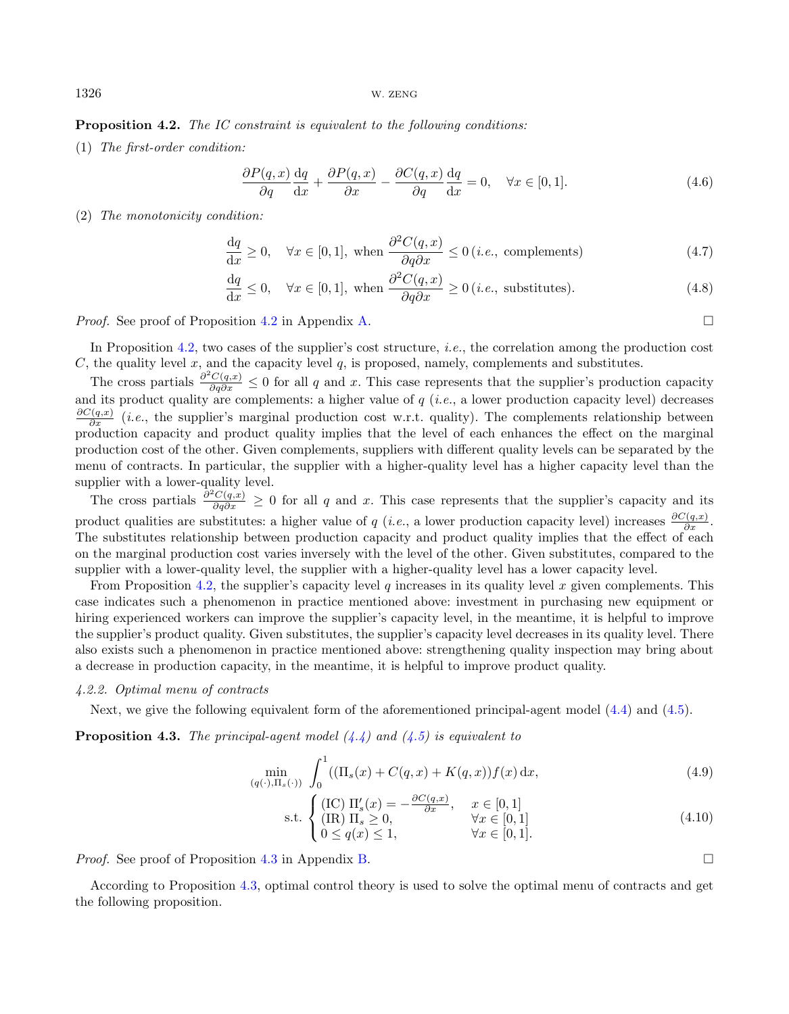#### <span id="page-5-0"></span>Proposition 4.2. The IC constraint is equivalent to the following conditions:

(1) The first-order condition:

<span id="page-5-3"></span>
$$
\frac{\partial P(q,x)}{\partial q}\frac{dq}{dx} + \frac{\partial P(q,x)}{\partial x} - \frac{\partial C(q,x)}{\partial q}\frac{dq}{dx} = 0, \quad \forall x \in [0,1].
$$
\n(4.6)

(2) The monotonicity condition:

$$
\frac{dq}{dx} \ge 0, \quad \forall x \in [0, 1], \text{ when } \frac{\partial^2 C(q, x)}{\partial q \partial x} \le 0 \text{ (i.e., complements)} \tag{4.7}
$$

$$
\frac{dq}{dx} \le 0, \quad \forall x \in [0, 1], \text{ when } \frac{\partial^2 C(q, x)}{\partial q \partial x} \ge 0 \text{ (i.e., substitutes).}
$$
\n(4.8)

*Proof.* See proof of Proposition [4.2](#page-5-0) in Appendix [A.](#page-9-1)

In Proposition [4.2,](#page-5-0) two cases of the supplier's cost structure, *i.e.*, the correlation among the production cost C, the quality level x, and the capacity level  $q$ , is proposed, namely, complements and substitutes.

The cross partials  $\frac{\partial^2 C(q,x)}{\partial q \partial x} \leq 0$  for all q and x. This case represents that the supplier's production capacity and its product quality are complements: a higher value of  $q$  (*i.e.*, a lower production capacity level) decreases  $\frac{\partial C(q,x)}{\partial x}$  (*i.e.*, the supplier's marginal production cost w.r.t. quality). The complements relationship between production capacity and product quality implies that the level of each enhances the effect on the marginal production cost of the other. Given complements, suppliers with different quality levels can be separated by the menu of contracts. In particular, the supplier with a higher-quality level has a higher capacity level than the supplier with a lower-quality level.

The cross partials  $\frac{\partial^2 C(q,x)}{\partial q \partial x} \geq 0$  for all q and x. This case represents that the supplier's capacity and its product qualities are substitutes: a higher value of q (*i.e.*, a lower production capacity level) increases  $\frac{\partial C(q,x)}{\partial x}$ . The substitutes relationship between production capacity and product quality implies that the effect of each on the marginal production cost varies inversely with the level of the other. Given substitutes, compared to the supplier with a lower-quality level, the supplier with a higher-quality level has a lower capacity level.

From Proposition [4.2,](#page-5-0) the supplier's capacity level  $q$  increases in its quality level  $x$  given complements. This case indicates such a phenomenon in practice mentioned above: investment in purchasing new equipment or hiring experienced workers can improve the supplier's capacity level, in the meantime, it is helpful to improve the supplier's product quality. Given substitutes, the supplier's capacity level decreases in its quality level. There also exists such a phenomenon in practice mentioned above: strengthening quality inspection may bring about a decrease in production capacity, in the meantime, it is helpful to improve product quality.

#### 4.2.2. Optimal menu of contracts

Next, we give the following equivalent form of the aforementioned principal-agent model [\(4.4\)](#page-4-4) and [\(4.5\)](#page-4-5).

<span id="page-5-1"></span>**Proposition 4.3.** The principal-agent model  $(4.4)$  and  $(4.5)$  is equivalent to

$$
\min_{(q(\cdot),\Pi_s(\cdot))} \int_0^1 ((\Pi_s(x) + C(q,x) + K(q,x))f(x) \,dx,\tag{4.9}
$$

$$
\text{s.t.} \begin{cases} (\text{IC}) \ \Pi_s'(x) = -\frac{\partial C(q, x)}{\partial x}, & x \in [0, 1] \\ (\text{IR}) \ \Pi_s \ge 0, & \forall x \in [0, 1] \\ 0 \le q(x) \le 1, & \forall x \in [0, 1]. \end{cases} \tag{4.10}
$$

*Proof.* See proof of Proposition [4.3](#page-5-1) in Appendix [B.](#page-10-0)

<span id="page-5-2"></span>According to Proposition [4.3,](#page-5-1) optimal control theory is used to solve the optimal menu of contracts and get the following proposition.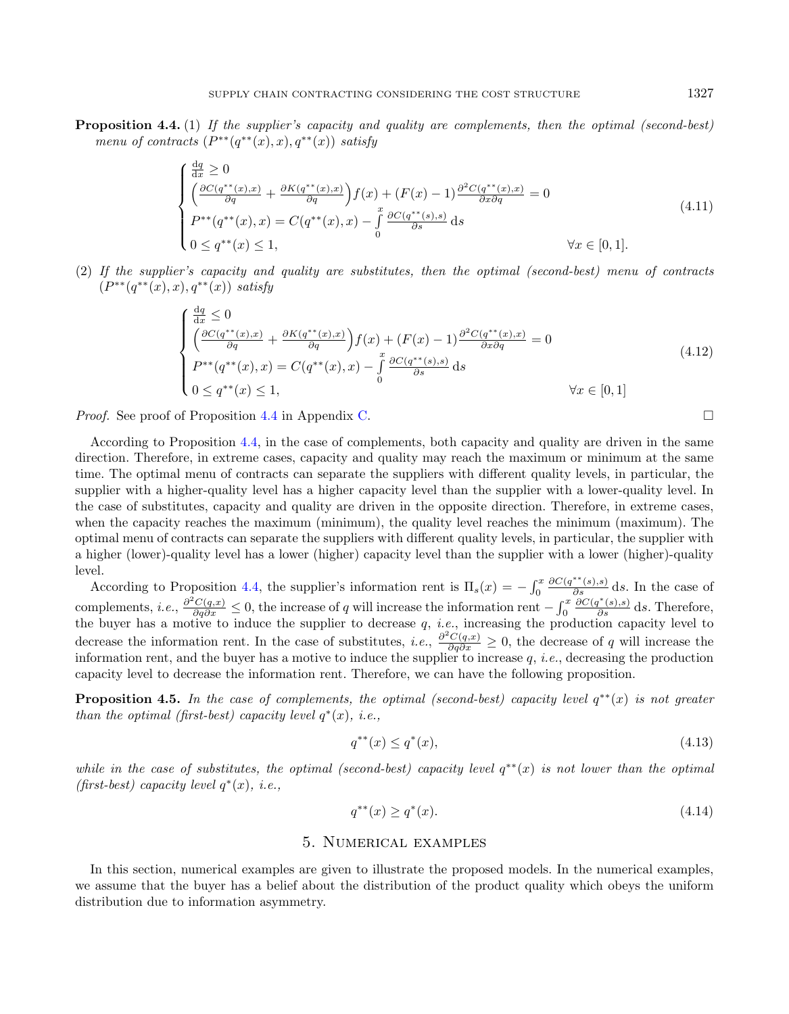**Proposition 4.4.** (1) If the supplier's capacity and quality are complements, then the optimal (second-best) menu of contracts  $(P^{**}(q^{**}(x), x), q^{**}(x))$  satisfy

$$
\begin{cases}\n\frac{dq}{dx} \geq 0 & (4.11) \\
\left(\frac{\partial C(q^{**}(x),x)}{\partial q} + \frac{\partial K(q^{**}(x),x)}{\partial q}\right) f(x) + (F(x) - 1) \frac{\partial^2 C(q^{**}(x),x)}{\partial x \partial q} = 0 \\
P^{**}(q^{**}(x), x) = C(q^{**}(x), x) - \int_0^x \frac{\partial C(q^{**}(s),s)}{\partial s} ds & (4.11) \\
0 \leq q^{**}(x) \leq 1, & \forall x \in [0,1].\n\end{cases}
$$

(2) If the supplier's capacity and quality are substitutes, then the optimal (second-best) menu of contracts  $(P^{**}(q^{**}(x), x), q^{**}(x))$  satisfy

$$
\begin{cases}\n\frac{dq}{dx} \leq 0 & \text{(4.12)} \\
\left(\frac{\partial C(q^{**}(x),x)}{\partial q} + \frac{\partial K(q^{**}(x),x)}{\partial q}\right) f(x) + (F(x) - 1) \frac{\partial^2 C(q^{**}(x),x)}{\partial x \partial q} = 0 \\
P^{**}(q^{**}(x), x) = C(q^{**}(x), x) - \int_0^x \frac{\partial C(q^{**}(s),s)}{\partial s} ds & \text{(4.12)} \\
0 \leq q^{**}(x) \leq 1, & \forall x \in [0,1]\n\end{cases}
$$

*Proof.* See proof of Proposition [4.4](#page-5-2) in Appendix [C.](#page-10-1)

According to Proposition [4.4,](#page-5-2) in the case of complements, both capacity and quality are driven in the same direction. Therefore, in extreme cases, capacity and quality may reach the maximum or minimum at the same time. The optimal menu of contracts can separate the suppliers with different quality levels, in particular, the supplier with a higher-quality level has a higher capacity level than the supplier with a lower-quality level. In the case of substitutes, capacity and quality are driven in the opposite direction. Therefore, in extreme cases, when the capacity reaches the maximum (minimum), the quality level reaches the minimum (maximum). The optimal menu of contracts can separate the suppliers with different quality levels, in particular, the supplier with a higher (lower)-quality level has a lower (higher) capacity level than the supplier with a lower (higher)-quality level.

According to Proposition [4.4,](#page-5-2) the supplier's information rent is  $\Pi_s(x) = -\int_0^x$  $\frac{\partial C(q^{**}(s),s)}{\partial s}$  ds. In the case of complements, *i.e.*,  $\frac{\partial^2 C(q,x)}{\partial q \partial x} \leq 0$ , the increase of q will increase the information rent  $-\int_0^x$  $\frac{\partial C(q^*(s),s)}{\partial s}$  ds. Therefore, the buyer has a motive to induce the supplier to decrease  $q$ , *i.e.*, increasing the production capacity level to decrease the information rent. In the case of substitutes, *i.e.*,  $\frac{\partial^2 C(q,x)}{\partial q \partial x} \geq 0$ , the decrease of q will increase the information rent, and the buyer has a motive to induce the supplier to increase  $q$ , *i.e.*, decreasing the production capacity level to decrease the information rent. Therefore, we can have the following proposition.

<span id="page-6-1"></span>**Proposition 4.5.** In the case of complements, the optimal (second-best) capacity level  $q^{**}(x)$  is not greater than the optimal (first-best) capacity level  $q^*(x)$ , i.e.,

$$
q^{**}(x) \le q^*(x),\tag{4.13}
$$

while in the case of substitutes, the optimal (second-best) capacity level  $q^{**}(x)$  is not lower than the optimal (first-best) capacity level  $q^*(x)$ , i.e.,

$$
q^{**}(x) \ge q^*(x). \tag{4.14}
$$

# 5. Numerical examples

<span id="page-6-0"></span>In this section, numerical examples are given to illustrate the proposed models. In the numerical examples, we assume that the buyer has a belief about the distribution of the product quality which obeys the uniform distribution due to information asymmetry.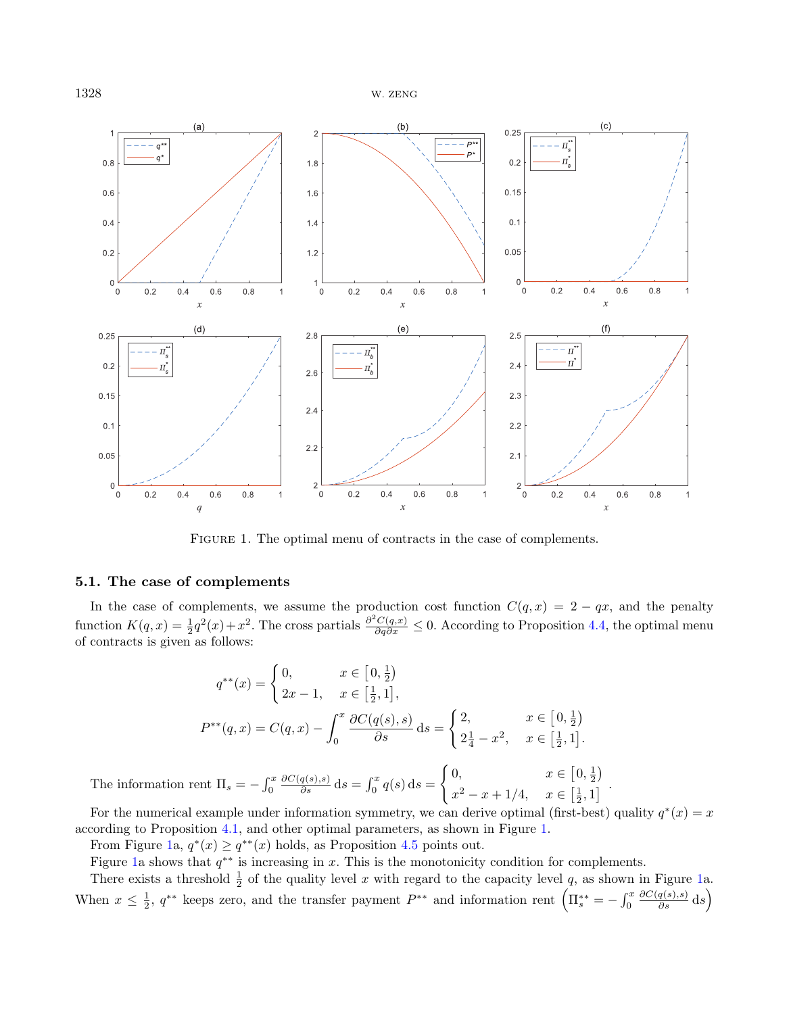

<span id="page-7-0"></span>FIGURE 1. The optimal menu of contracts in the case of complements.

#### 5.1. The case of complements

In the case of complements, we assume the production cost function  $C(q, x) = 2 - qx$ , and the penalty function  $K(q, x) = \frac{1}{2}q^2(x) + x^2$ . The cross partials  $\frac{\partial^2 C(q, x)}{\partial q \partial x} \leq 0$ . According to Proposition [4.4,](#page-5-2) the optimal menu of contracts is given as follows:

$$
q^{**}(x) = \begin{cases} 0, & x \in [0, \frac{1}{2}) \\ 2x - 1, & x \in [\frac{1}{2}, 1], \end{cases}
$$
  

$$
P^{**}(q, x) = C(q, x) - \int_0^x \frac{\partial C(q(s), s)}{\partial s} ds = \begin{cases} 2, & x \in [0, \frac{1}{2}) \\ 2\frac{1}{4} - x^2, & x \in [\frac{1}{2}, 1]. \end{cases}
$$

The information rent  $\Pi_s = -\int_0^x$  $\frac{\partial C(q(s),s)}{\partial s} ds = \int_0^x q(s) ds =$  $f(0, \frac{1}{2})$  $x^2 - x + 1/4$ ,  $x \in \left[\frac{1}{2}, 1\right]$ 

For the numerical example under information symmetry, we can derive optimal (first-best) quality  $q^*(x) = x$ according to Proposition [4.1,](#page-4-6) and other optimal parameters, as shown in Figure [1.](#page-7-0)

From Figure [1a](#page-7-0),  $q^*(x) \geq q^{**}(x)$  holds, as Proposition [4.5](#page-6-1) points out.

Figure [1a](#page-7-0) shows that  $q^{**}$  is increasing in x. This is the monotonicity condition for complements.

There exists a threshold  $\frac{1}{2}$  of the quality level x with regard to the capacity level q, as shown in Figure [1a](#page-7-0). When  $x \leq \frac{1}{2}$ ,  $q^{**}$  keeps zero, and the transfer payment  $P^{**}$  and information rent  $(\Pi_s^{**} = -\int_0^x$  $\frac{\partial C(q(s),s)}{\partial s} ds$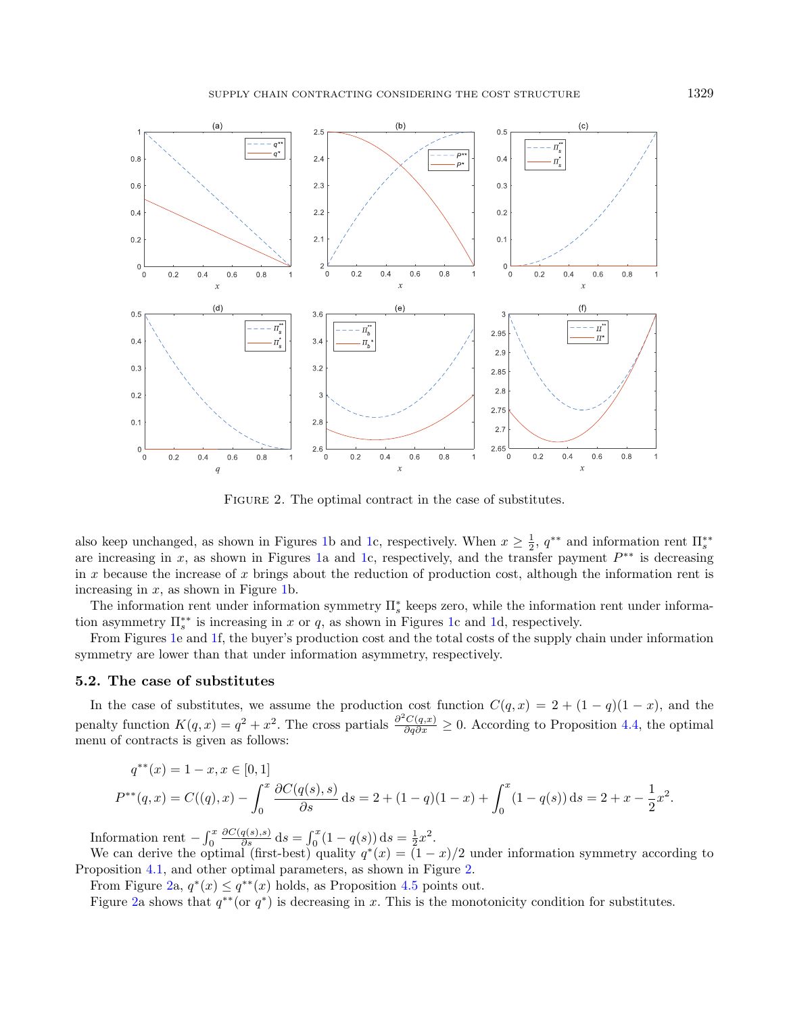

<span id="page-8-0"></span>FIGURE 2. The optimal contract in the case of substitutes.

also keep unchanged, as shown in Figures [1b](#page-7-0) and [1c](#page-7-0), respectively. When  $x \geq \frac{1}{2}$ ,  $q^{**}$  and information rent  $\Pi_s^{**}$ are increasing in x, as shown in Figures [1a](#page-7-0) and [1c](#page-7-0), respectively, and the transfer payment  $P^{**}$  is decreasing in x because the increase of x brings about the reduction of production cost, although the information rent is increasing in  $x$ , as shown in Figure [1b](#page-7-0).

The information rent under information symmetry  $\Pi_s^*$  keeps zero, while the information rent under information asymmetry  $\Pi_s^{**}$  is increasing in x or q, as shown in Figures [1c](#page-7-0) and [1d](#page-7-0), respectively.

From Figures [1e](#page-7-0) and [1f](#page-7-0), the buyer's production cost and the total costs of the supply chain under information symmetry are lower than that under information asymmetry, respectively.

#### 5.2. The case of substitutes

In the case of substitutes, we assume the production cost function  $C(q, x) = 2 + (1 - q)(1 - x)$ , and the penalty function  $K(q, x) = q^2 + x^2$ . The cross partials  $\frac{\partial^2 C(q, x)}{\partial q \partial x} \ge 0$ . According to Proposition [4.4,](#page-5-2) the optimal menu of contracts is given as follows:

$$
q^{**}(x) = 1 - x, x \in [0, 1]
$$
  

$$
P^{**}(q, x) = C((q), x) - \int_0^x \frac{\partial C(q(s), s)}{\partial s} ds = 2 + (1 - q)(1 - x) + \int_0^x (1 - q(s)) ds = 2 + x - \frac{1}{2}x^2.
$$

Information rent  $-\int_0^x$  $\frac{\partial C(q(s),s)}{\partial s} ds = \int_0^x (1-q(s)) ds = \frac{1}{2}x^2.$ 

We can derive the optimal (first-best) quality  $q^*(x) = (1-x)/2$  under information symmetry according to Proposition [4.1,](#page-4-6) and other optimal parameters, as shown in Figure [2.](#page-8-0)

From Figure [2a](#page-8-0),  $q^*(x) \leq q^{**}(x)$  holds, as Proposition [4.5](#page-6-1) points out.

Figure [2a](#page-8-0) shows that  $q^{**}$  (or  $q^*$ ) is decreasing in x. This is the monotonicity condition for substitutes.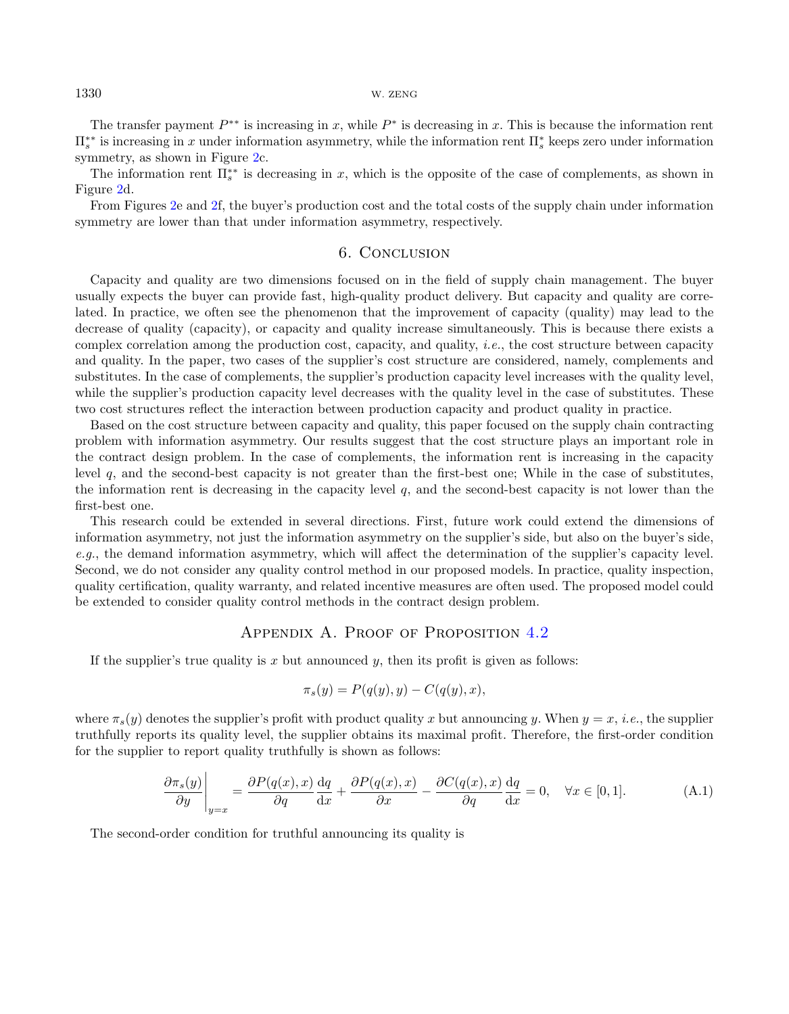The transfer payment  $P^{**}$  is increasing in x, while  $P^*$  is decreasing in x. This is because the information rent  $\Pi_s^{**}$  is increasing in x under information asymmetry, while the information rent  $\Pi_s^*$  keeps zero under information symmetry, as shown in Figure [2c](#page-8-0).

The information rent  $\Pi_s^{**}$  is decreasing in x, which is the opposite of the case of complements, as shown in Figure [2d](#page-8-0).

From Figures [2e](#page-8-0) and [2f](#page-8-0), the buyer's production cost and the total costs of the supply chain under information symmetry are lower than that under information asymmetry, respectively.

# 6. Conclusion

<span id="page-9-0"></span>Capacity and quality are two dimensions focused on in the field of supply chain management. The buyer usually expects the buyer can provide fast, high-quality product delivery. But capacity and quality are correlated. In practice, we often see the phenomenon that the improvement of capacity (quality) may lead to the decrease of quality (capacity), or capacity and quality increase simultaneously. This is because there exists a complex correlation among the production cost, capacity, and quality, i.e., the cost structure between capacity and quality. In the paper, two cases of the supplier's cost structure are considered, namely, complements and substitutes. In the case of complements, the supplier's production capacity level increases with the quality level, while the supplier's production capacity level decreases with the quality level in the case of substitutes. These two cost structures reflect the interaction between production capacity and product quality in practice.

Based on the cost structure between capacity and quality, this paper focused on the supply chain contracting problem with information asymmetry. Our results suggest that the cost structure plays an important role in the contract design problem. In the case of complements, the information rent is increasing in the capacity level  $q$ , and the second-best capacity is not greater than the first-best one; While in the case of substitutes, the information rent is decreasing in the capacity level  $q$ , and the second-best capacity is not lower than the first-best one.

This research could be extended in several directions. First, future work could extend the dimensions of information asymmetry, not just the information asymmetry on the supplier's side, but also on the buyer's side, e.g., the demand information asymmetry, which will affect the determination of the supplier's capacity level. Second, we do not consider any quality control method in our proposed models. In practice, quality inspection, quality certification, quality warranty, and related incentive measures are often used. The proposed model could be extended to consider quality control methods in the contract design problem.

### APPENDIX A. PROOF OF PROPOSITION [4.2](#page-5-0)

<span id="page-9-1"></span>If the supplier's true quality is  $x$  but announced  $y$ , then its profit is given as follows:

<span id="page-9-2"></span>
$$
\pi_s(y) = P(q(y), y) - C(q(y), x),
$$

where  $\pi_s(y)$  denotes the supplier's profit with product quality x but announcing y. When  $y = x$ , *i.e.*, the supplier truthfully reports its quality level, the supplier obtains its maximal profit. Therefore, the first-order condition for the supplier to report quality truthfully is shown as follows:

$$
\frac{\partial \pi_s(y)}{\partial y}\Big|_{y=x} = \frac{\partial P(q(x),x)}{\partial q}\frac{\mathrm{d}q}{\mathrm{d}x} + \frac{\partial P(q(x),x)}{\partial x} - \frac{\partial C(q(x),x)}{\partial q}\frac{\mathrm{d}q}{\mathrm{d}x} = 0, \quad \forall x \in [0,1].\tag{A.1}
$$

The second-order condition for truthful announcing its quality is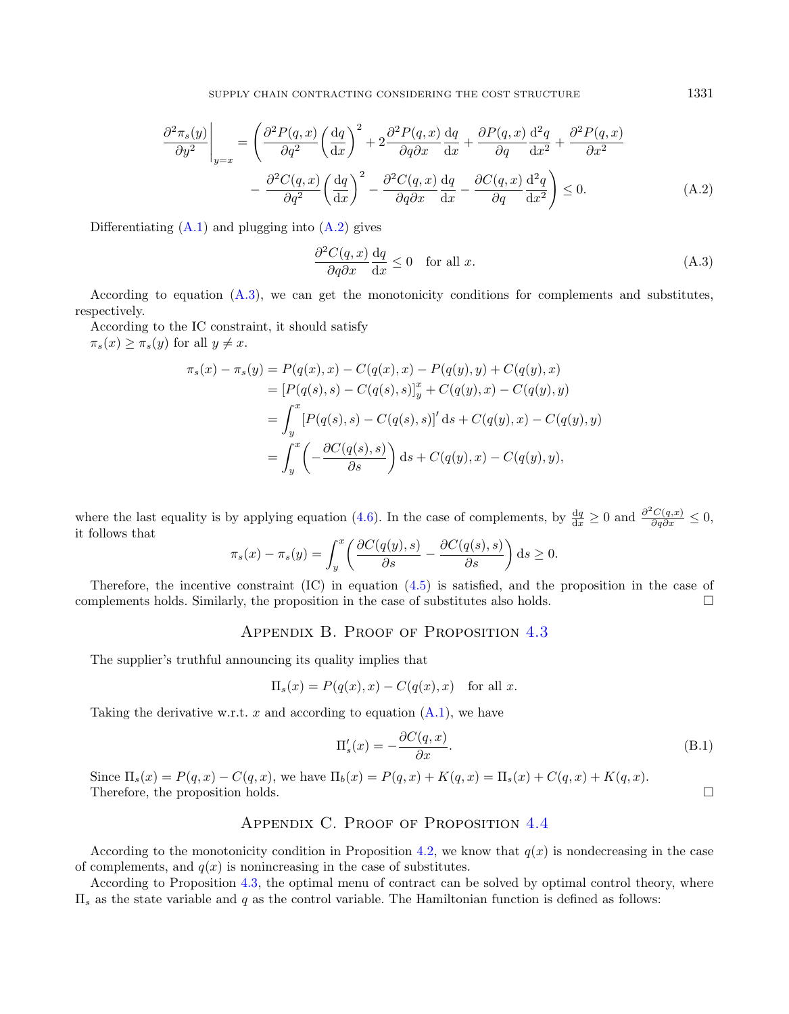$$
\frac{\partial^2 \pi_s(y)}{\partial y^2}\Big|_{y=x} = \left(\frac{\partial^2 P(q,x)}{\partial q^2} \left(\frac{dq}{dx}\right)^2 + 2\frac{\partial^2 P(q,x)}{\partial q \partial x} \frac{dq}{dx} + \frac{\partial P(q,x)}{\partial q} \frac{d^2 q}{dx^2} + \frac{\partial^2 P(q,x)}{\partial x^2} - \frac{\partial^2 C(q,x)}{\partial q^2} \left(\frac{dq}{dx}\right)^2 - \frac{\partial^2 C(q,x)}{\partial q \partial x} \frac{dq}{dx} - \frac{\partial C(q,x)}{\partial q} \frac{d^2 q}{dx^2}\right) \le 0.
$$
\n(A.2)

Differentiating  $(A.1)$  and plugging into  $(A.2)$  gives

$$
\frac{\partial^2 C(q, x)}{\partial q \partial x} \frac{\mathrm{d}q}{\mathrm{d}x} \le 0 \quad \text{for all } x. \tag{A.3}
$$

According to equation [\(A.3\)](#page-10-3), we can get the monotonicity conditions for complements and substitutes, respectively.

According to the IC constraint, it should satisfy  $\pi_s(x) \geq \pi_s(y)$  for all  $y \neq x$ .

$$
\pi_s(x) - \pi_s(y) = P(q(x), x) - C(q(x), x) - P(q(y), y) + C(q(y), x)
$$
  
\n
$$
= [P(q(s), s) - C(q(s), s)]_y^x + C(q(y), x) - C(q(y), y)
$$
  
\n
$$
= \int_y^x [P(q(s), s) - C(q(s), s)]' ds + C(q(y), x) - C(q(y), y)
$$
  
\n
$$
= \int_y^x \left( -\frac{\partial C(q(s), s)}{\partial s} \right) ds + C(q(y), x) - C(q(y), y),
$$

where the last equality is by applying equation [\(4.6\)](#page-5-3). In the case of complements, by  $\frac{dq}{dx} \ge 0$  and  $\frac{\partial^2 C(q,x)}{\partial q \partial x} \le 0$ , it follows that

$$
\pi_s(x) - \pi_s(y) = \int_y^x \left( \frac{\partial C(q(y), s)}{\partial s} - \frac{\partial C(q(s), s)}{\partial s} \right) ds \ge 0.
$$

Therefore, the incentive constraint (IC) in equation [\(4.5\)](#page-4-5) is satisfied, and the proposition in the case of complements holds. Similarly, the proposition in the case of substitutes also holds.  $\square$ 

# APPENDIX B. PROOF OF PROPOSITION [4.3](#page-5-1)

<span id="page-10-0"></span>The supplier's truthful announcing its quality implies that

$$
\Pi_s(x) = P(q(x), x) - C(q(x), x) \text{ for all } x.
$$

Taking the derivative w.r.t.  $x$  and according to equation  $(A.1)$ , we have

$$
\Pi_s'(x) = -\frac{\partial C(q, x)}{\partial x}.
$$
\n(B.1)

Since  $\Pi_s(x) = P(q, x) - C(q, x)$ , we have  $\Pi_b(x) = P(q, x) + K(q, x) = \Pi_s(x) + C(q, x) + K(q, x)$ . Therefore, the proposition holds.

# APPENDIX C. PROOF OF PROPOSITION [4.4](#page-5-2)

<span id="page-10-1"></span>According to the monotonicity condition in Proposition [4.2,](#page-5-0) we know that  $q(x)$  is nondecreasing in the case of complements, and  $q(x)$  is nonincreasing in the case of substitutes.

According to Proposition [4.3,](#page-5-1) the optimal menu of contract can be solved by optimal control theory, where  $\Pi_s$  as the state variable and q as the control variable. The Hamiltonian function is defined as follows:

<span id="page-10-3"></span><span id="page-10-2"></span>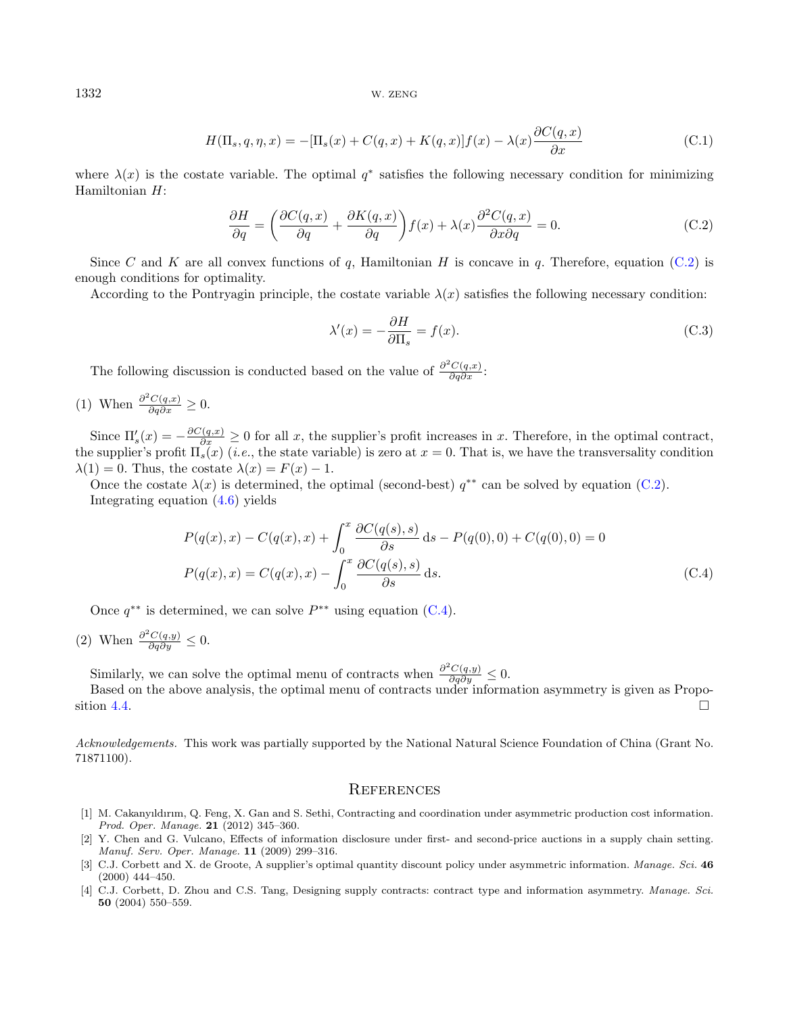$$
H(\Pi_s, q, \eta, x) = -[\Pi_s(x) + C(q, x) + K(q, x)]f(x) - \lambda(x)\frac{\partial C(q, x)}{\partial x}
$$
(C.1)

where  $\lambda(x)$  is the costate variable. The optimal  $q^*$  satisfies the following necessary condition for minimizing Hamiltonian  $H$ :

$$
\frac{\partial H}{\partial q} = \left(\frac{\partial C(q,x)}{\partial q} + \frac{\partial K(q,x)}{\partial q}\right) f(x) + \lambda(x) \frac{\partial^2 C(q,x)}{\partial x \partial q} = 0.
$$
 (C.2)

Since C and K are all convex functions of q, Hamiltonian H is concave in q. Therefore, equation [\(C.2\)](#page-11-4) is enough conditions for optimality.

According to the Pontryagin principle, the costate variable  $\lambda(x)$  satisfies the following necessary condition:

<span id="page-11-5"></span><span id="page-11-4"></span>
$$
\lambda'(x) = -\frac{\partial H}{\partial \Pi_s} = f(x). \tag{C.3}
$$

The following discussion is conducted based on the value of  $\frac{\partial^2 C(q,x)}{\partial q \partial x}$ :

(1) When 
$$
\frac{\partial^2 C(q,x)}{\partial q \partial x} \geq 0.
$$

Since  $\Pi'_{s}(x) = -\frac{\partial C(q,x)}{\partial x} \ge 0$  for all x, the supplier's profit increases in x. Therefore, in the optimal contract, the supplier's profit  $\Pi_s(x)$  (*i.e.*, the state variable) is zero at  $x = 0$ . That is, we have the transversality condition  $\lambda(1) = 0$ . Thus, the costate  $\lambda(x) = F(x) - 1$ .

Once the costate  $\lambda(x)$  is determined, the optimal (second-best)  $q^{**}$  can be solved by equation [\(C.2\)](#page-11-4). Integrating equation [\(4.6\)](#page-5-3) yields

$$
P(q(x), x) - C(q(x), x) + \int_0^x \frac{\partial C(q(s), s)}{\partial s} ds - P(q(0), 0) + C(q(0), 0) = 0
$$
  

$$
P(q(x), x) = C(q(x), x) - \int_0^x \frac{\partial C(q(s), s)}{\partial s} ds.
$$
 (C.4)

Once  $q^{**}$  is determined, we can solve  $P^{**}$  using equation [\(C.4\)](#page-11-5).

<span id="page-11-1"></span><span id="page-11-0"></span>(2) When 
$$
\frac{\partial^2 C(q, y)}{\partial q \partial y} \leq 0
$$
.

<span id="page-11-2"></span>Similarly, we can solve the optimal menu of contracts when  $\frac{\partial^2 C(q,y)}{\partial q \partial y} \leq 0$ .

<span id="page-11-3"></span>Based on the above analysis, the optimal menu of contracts under information asymmetry is given as Propo-sition [4.4.](#page-5-2)

Acknowledgements. This work was partially supported by the National Natural Science Foundation of China (Grant No. 71871100).

### **REFERENCES**

- [1] M. Cakanyıldırım, Q. Feng, X. Gan and S. Sethi, Contracting and coordination under asymmetric production cost information. Prod. Oper. Manage. 21 (2012) 345–360.
- [2] Y. Chen and G. Vulcano, Effects of information disclosure under first- and second-price auctions in a supply chain setting. Manuf. Serv. Oper. Manage. 11 (2009) 299–316.
- [3] C.J. Corbett and X. de Groote, A supplier's optimal quantity discount policy under asymmetric information. Manage. Sci. 46 (2000) 444–450.
- [4] C.J. Corbett, D. Zhou and C.S. Tang, Designing supply contracts: contract type and information asymmetry. Manage. Sci. 50 (2004) 550–559.